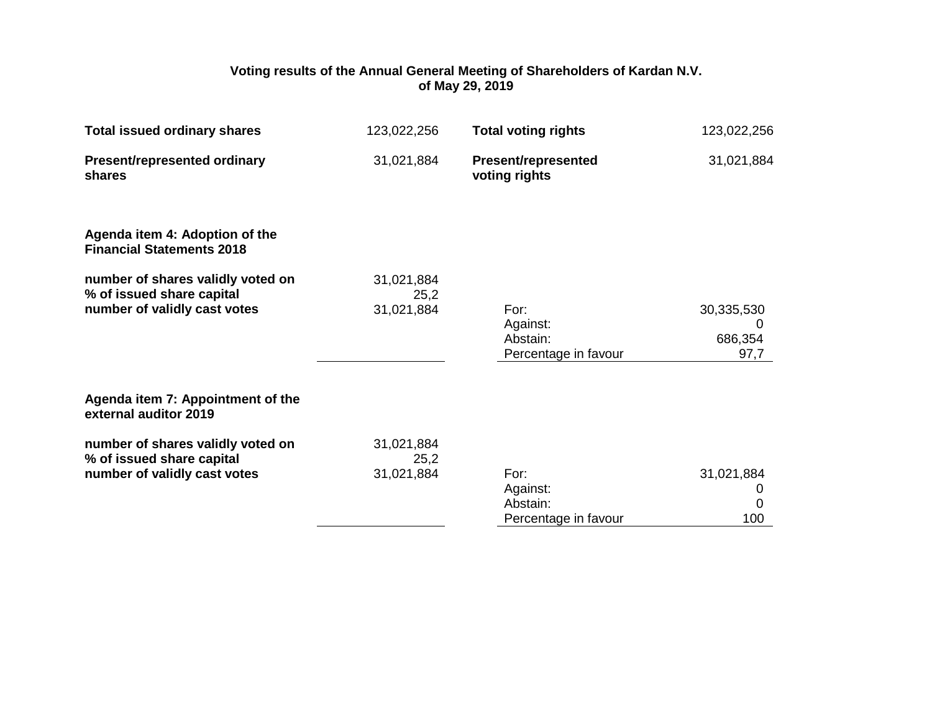## **Voting results of the Annual General Meeting of Shareholders of Kardan N.V. of May 29, 2019**

| <b>Total issued ordinary shares</b>                                                            | 123,022,256                      | <b>Total voting rights</b>                           | 123,022,256                        |
|------------------------------------------------------------------------------------------------|----------------------------------|------------------------------------------------------|------------------------------------|
| <b>Present/represented ordinary</b><br>shares                                                  | 31,021,884                       | <b>Present/represented</b><br>voting rights          | 31,021,884                         |
| Agenda item 4: Adoption of the<br><b>Financial Statements 2018</b>                             |                                  |                                                      |                                    |
| number of shares validly voted on<br>% of issued share capital<br>number of validly cast votes | 31,021,884<br>25,2<br>31,021,884 | For:<br>Against:<br>Abstain:<br>Percentage in favour | 30,335,530<br>0<br>686,354<br>97,7 |
| Agenda item 7: Appointment of the<br>external auditor 2019                                     |                                  |                                                      |                                    |
| number of shares validly voted on<br>% of issued share capital<br>number of validly cast votes | 31,021,884<br>25,2<br>31,021,884 | For:<br>Against:<br>Abstain:<br>Percentage in favour | 31,021,884<br>0<br>0<br>100        |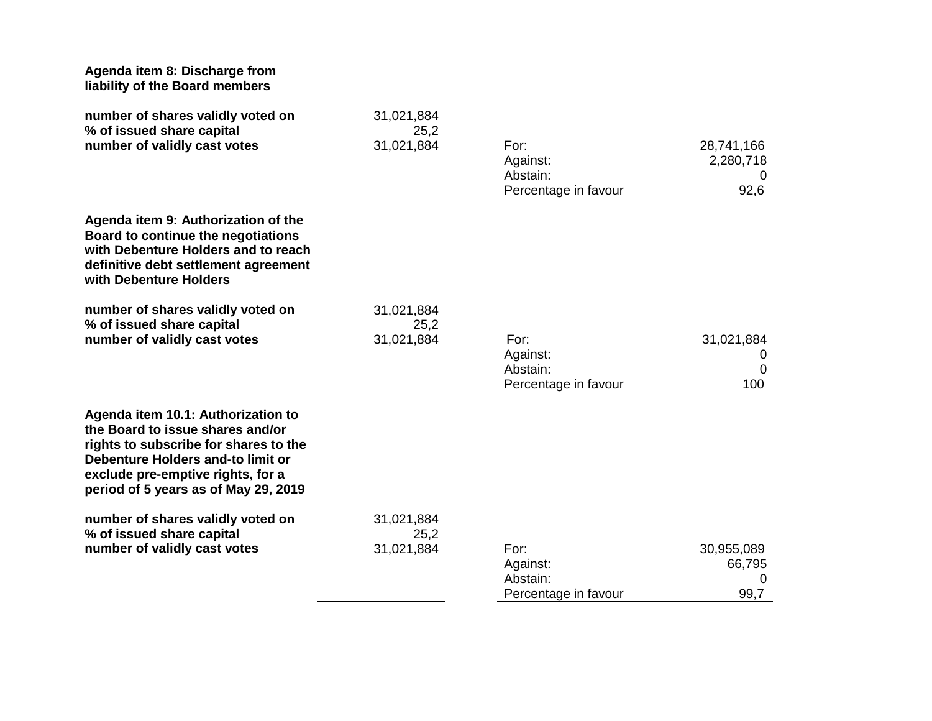| Agenda item 8: Discharge from<br>liability of the Board members                                                                                                                                                                   |                    |                                                      |                                      |
|-----------------------------------------------------------------------------------------------------------------------------------------------------------------------------------------------------------------------------------|--------------------|------------------------------------------------------|--------------------------------------|
| number of shares validly voted on<br>% of issued share capital                                                                                                                                                                    | 31,021,884<br>25,2 |                                                      |                                      |
| number of validly cast votes                                                                                                                                                                                                      | 31,021,884         | For:<br>Against:<br>Abstain:<br>Percentage in favour | 28,741,166<br>2,280,718<br>0<br>92,6 |
| Agenda item 9: Authorization of the<br>Board to continue the negotiations<br>with Debenture Holders and to reach<br>definitive debt settlement agreement<br>with Debenture Holders                                                |                    |                                                      |                                      |
| number of shares validly voted on                                                                                                                                                                                                 | 31,021,884         |                                                      |                                      |
| % of issued share capital<br>number of validly cast votes                                                                                                                                                                         | 25,2<br>31,021,884 | For:<br>Against:<br>Abstain:<br>Percentage in favour | 31,021,884<br>U<br>0<br>100          |
| Agenda item 10.1: Authorization to<br>the Board to issue shares and/or<br>rights to subscribe for shares to the<br>Debenture Holders and-to limit or<br>exclude pre-emptive rights, for a<br>period of 5 years as of May 29, 2019 |                    |                                                      |                                      |
| number of shares validly voted on<br>% of issued share capital                                                                                                                                                                    | 31,021,884<br>25,2 |                                                      |                                      |
| number of validly cast votes                                                                                                                                                                                                      | 31,021,884         | For:                                                 | 30,955,089                           |
|                                                                                                                                                                                                                                   |                    | Against:                                             | 66,795                               |
|                                                                                                                                                                                                                                   |                    | Abstain:                                             | 0                                    |
|                                                                                                                                                                                                                                   |                    | Percentage in favour                                 | 99,7                                 |